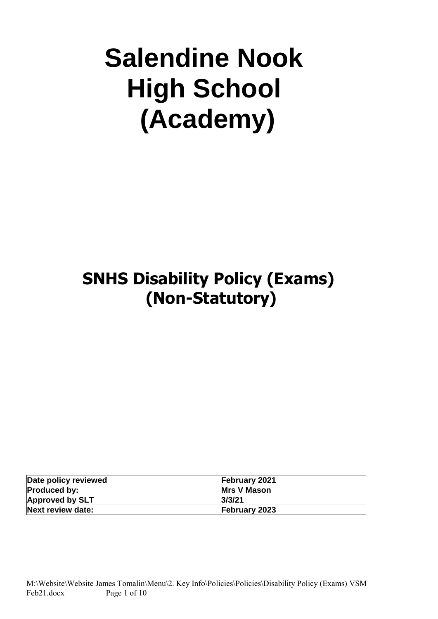# **Salendine Nook High School (Academy)**

## **SNHS Disability Policy (Exams) (Non-Statutory)**

| Date policy reviewed   | <b>February 2021</b> |
|------------------------|----------------------|
| <b>Produced by:</b>    | <b>Mrs V Mason</b>   |
| <b>Approved by SLT</b> | 3/3/21               |
| Next review date:      | <b>February 2023</b> |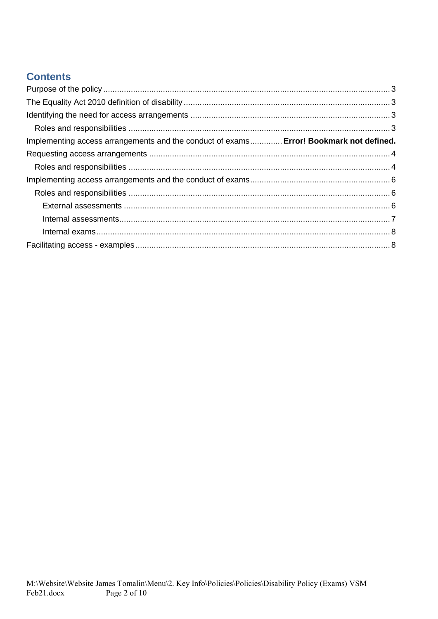## **Contents**

| Implementing access arrangements and the conduct of exams Error! Bookmark not defined. |  |
|----------------------------------------------------------------------------------------|--|
|                                                                                        |  |
|                                                                                        |  |
|                                                                                        |  |
|                                                                                        |  |
|                                                                                        |  |
|                                                                                        |  |
|                                                                                        |  |
|                                                                                        |  |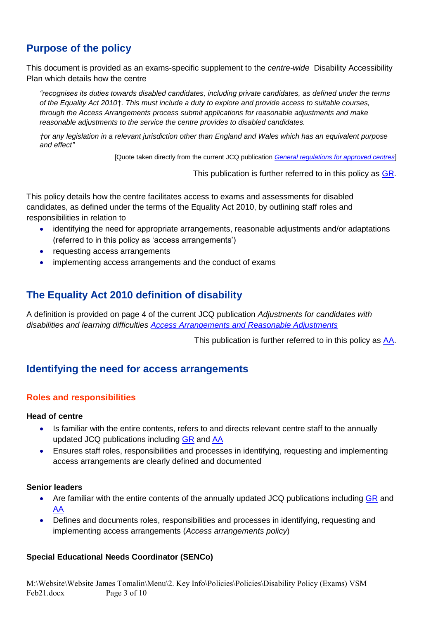## <span id="page-2-0"></span>**Purpose of the policy**

This document is provided as an exams-specific supplement to the *centre-wide* Disability Accessibility Plan which details how the centre

*"recognises its duties towards disabled candidates, including private candidates, as defined under the terms of the Equality Act 2010*†*. This must include a duty to explore and provide access to suitable courses, through the Access Arrangements process submit applications for reasonable adjustments and make reasonable adjustments to the service the centre provides to disabled candidates.*

*†or any legislation in a relevant jurisdiction other than England and Wales which has an equivalent purpose and effect"* 

[Quote taken directly from the current JCQ publication *[General regulations for approved centres](http://www.jcq.org.uk/exams-office/general-regulations)*]

This publication is further referred to in this policy as [GR.](http://www.jcq.org.uk/exams-office/general-regulations)

This policy details how the centre facilitates access to exams and assessments for disabled candidates, as defined under the terms of the Equality Act 2010, by outlining staff roles and responsibilities in relation to

- identifying the need for appropriate arrangements, reasonable adjustments and/or adaptations (referred to in this policy as 'access arrangements')
- requesting access arrangements
- implementing access arrangements and the conduct of exams

## <span id="page-2-1"></span>**The Equality Act 2010 definition of disability**

A definition is provided on page 4 of the current JCQ publication *Adjustments for candidates with disabilities and learning difficulties [Access Arrangements and Reasonable Adjustments](http://www.jcq.org.uk/exams-office/access-arrangements-and-special-consideration/regulations-and-guidance)*

This publication is further referred to in this policy as [AA.](http://www.jcq.org.uk/exams-office/access-arrangements-and-special-consideration/regulations-and-guidance)

## <span id="page-2-2"></span>**Identifying the need for access arrangements**

## <span id="page-2-3"></span>**Roles and responsibilities**

#### **Head of centre**

- Is familiar with the entire contents, refers to and directs relevant centre staff to the annually updated JCQ publications including [GR](http://www.jcq.org.uk/exams-office/general-regulations) and [AA](http://www.jcq.org.uk/exams-office/access-arrangements-and-special-consideration/regulations-and-guidance)
- Ensures staff roles, responsibilities and processes in identifying, requesting and implementing access arrangements are clearly defined and documented

#### **Senior leaders**

- Are familiar with the entire contents of the annually updated JCQ publications including [GR](http://www.jcq.org.uk/exams-office/general-regulations) and [AA](http://www.jcq.org.uk/exams-office/access-arrangements-and-special-consideration/regulations-and-guidance)
- Defines and documents roles, responsibilities and processes in identifying, requesting and implementing access arrangements (*Access arrangements policy*)

#### **Special Educational Needs Coordinator (SENCo)**

M:\Website\Website James Tomalin\Menu\2. Key Info\Policies\Policies\Disability Policy (Exams) VSM Feb21.docx Page 3 of 10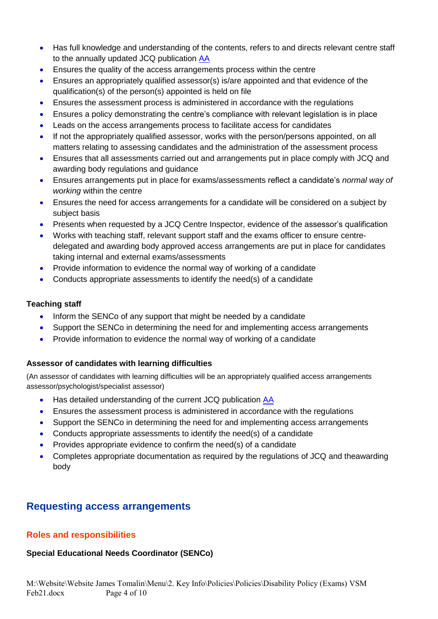- Has full knowledge and understanding of the contents, refers to and directs relevant centre staff to the annually updated JCQ publication [AA](http://www.jcq.org.uk/exams-office/access-arrangements-and-special-consideration/regulations-and-guidance)
- Ensures the quality of the access arrangements process within the centre
- Ensures an appropriately qualified assessor(s) is/are appointed and that evidence of the qualification(s) of the person(s) appointed is held on file
- Ensures the assessment process is administered in accordance with the regulations
- Ensures a policy demonstrating the centre's compliance with relevant legislation is in place
- Leads on the access arrangements process to facilitate access for candidates
- If not the appropriately qualified assessor, works with the person/persons appointed, on all matters relating to assessing candidates and the administration of the assessment process
- Ensures that all assessments carried out and arrangements put in place comply with JCQ and awarding body regulations and guidance
- Ensures arrangements put in place for exams/assessments reflect a candidate's *normal way of working* within the centre
- Ensures the need for access arrangements for a candidate will be considered on a subject by subject basis
- Presents when requested by a JCQ Centre Inspector, evidence of the assessor's qualification
- Works with teaching staff, relevant support staff and the exams officer to ensure centredelegated and awarding body approved access arrangements are put in place for candidates taking internal and external exams/assessments
- Provide information to evidence the normal way of working of a candidate
- Conducts appropriate assessments to identify the need(s) of a candidate

## **Teaching staff**

- Inform the SENCo of any support that might be needed by a candidate
- Support the SENCo in determining the need for and implementing access arrangements
- Provide information to evidence the normal way of working of a candidate

## **Assessor of candidates with learning difficulties**

(An assessor of candidates with learning difficulties will be an appropriately qualified access arrangements assessor/psychologist/specialist assessor)

- Has detailed understanding of the current JCQ publication [AA](http://www.jcq.org.uk/exams-office/access-arrangements-and-special-consideration/regulations-and-guidance)
- Ensures the assessment process is administered in accordance with the regulations
- Support the SENCo in determining the need for and implementing access arrangements
- Conducts appropriate assessments to identify the need(s) of a candidate
- Provides appropriate evidence to confirm the need(s) of a candidate
- Completes appropriate documentation as required by the regulations of JCQ and theawarding body

## <span id="page-3-0"></span>**Requesting access arrangements**

## <span id="page-3-1"></span>**Roles and responsibilities**

## **Special Educational Needs Coordinator (SENCo)**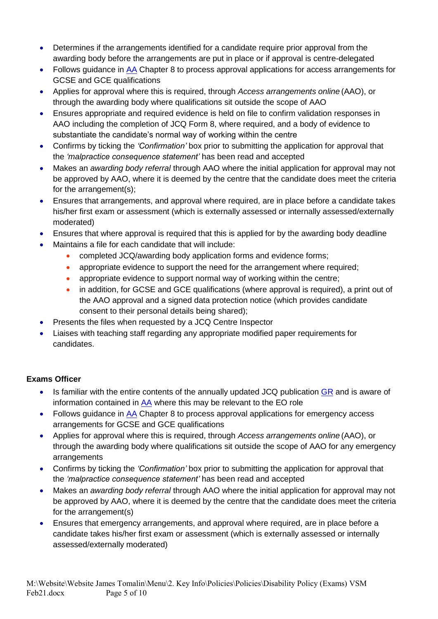- Determines if the arrangements identified for a candidate require prior approval from the awarding body before the arrangements are put in place or if approval is centre-delegated
- Follows quidance in [AA](http://www.jcq.org.uk/exams-office/access-arrangements-and-special-consideration) Chapter 8 to process approval applications for access arrangements for GCSE and GCE qualifications
- Applies for approval where this is required, through *Access arrangements online* (AAO), or through the awarding body where qualifications sit outside the scope of AAO
- Ensures appropriate and required evidence is held on file to confirm validation responses in AAO including the completion of JCQ Form 8, where required, and a body of evidence to substantiate the candidate's normal way of working within the centre
- Confirms by ticking the *'Confirmation'* box prior to submitting the application for approval that the *'malpractice consequence statement'* has been read and accepted
- Makes an *awarding body referral* through AAO where the initial application for approval may not be approved by AAO, where it is deemed by the centre that the candidate does meet the criteria for the arrangement(s);
- Ensures that arrangements, and approval where required, are in place before a candidate takes his/her first exam or assessment (which is externally assessed or internally assessed/externally moderated)
- Ensures that where approval is required that this is applied for by the awarding body deadline
- Maintains a file for each candidate that will include:
	- completed JCQ/awarding body application forms and evidence forms;
	- appropriate evidence to support the need for the arrangement where required;
	- appropriate evidence to support normal way of working within the centre;
	- in addition, for GCSE and GCE qualifications (where approval is required), a print out of the AAO approval and a signed data protection notice (which provides candidate consent to their personal details being shared);
- Presents the files when requested by a JCQ Centre Inspector
- Liaises with teaching staff regarding any appropriate modified paper requirements for candidates.

## **Exams Officer**

- Is familiar with the entire contents of the annually updated JCQ publication [GR](http://www.jcq.org.uk/exams-office/general-regulations) and is aware of information contained in  $\overline{AA}$  where this may be relevant to the EO role
- Follows guidance in [AA](http://www.jcq.org.uk/exams-office/access-arrangements-and-special-consideration) Chapter 8 to process approval applications for emergency access arrangements for GCSE and GCE qualifications
- Applies for approval where this is required, through *Access arrangements online* (AAO), or through the awarding body where qualifications sit outside the scope of AAO for any emergency arrangements
- Confirms by ticking the *'Confirmation'* box prior to submitting the application for approval that the *'malpractice consequence statement'* has been read and accepted
- Makes an *awarding body referral* through AAO where the initial application for approval may not be approved by AAO, where it is deemed by the centre that the candidate does meet the criteria for the arrangement(s)
- Ensures that emergency arrangements, and approval where required, are in place before a candidate takes his/her first exam or assessment (which is externally assessed or internally assessed/externally moderated)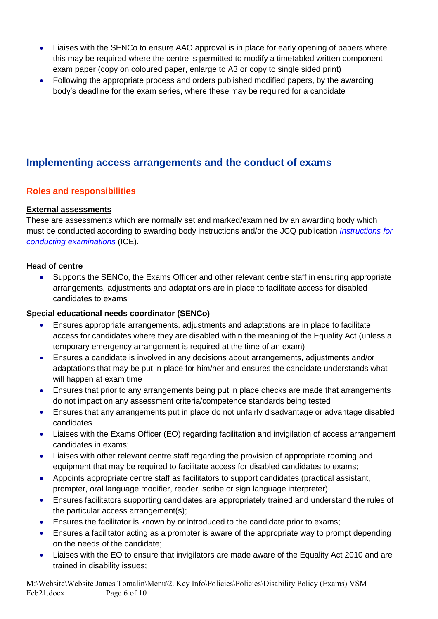- Liaises with the SENCo to ensure AAO approval is in place for early opening of papers where this may be required where the centre is permitted to modify a timetabled written component exam paper (copy on coloured paper, enlarge to A3 or copy to single sided print)
- Following the appropriate process and orders published modified papers, by the awarding body's deadline for the exam series, where these may be required for a candidate

## <span id="page-5-0"></span>**Implementing access arrangements and the conduct of exams**

## <span id="page-5-1"></span>**Roles and responsibilities**

## <span id="page-5-2"></span>**External assessments**

These are assessments which are normally set and marked/examined by an awarding body which must be conducted according to awarding body instructions and/or the JCQ publication *[Instructions for](http://www.jcq.org.uk/exams-office/ice---instructions-for-conducting-examinations)  [conducting examinations](http://www.jcq.org.uk/exams-office/ice---instructions-for-conducting-examinations)* (ICE).

## **Head of centre**

• Supports the SENCo, the Exams Officer and other relevant centre staff in ensuring appropriate arrangements, adjustments and adaptations are in place to facilitate access for disabled candidates to exams

## **Special educational needs coordinator (SENCo)**

- Ensures appropriate arrangements, adjustments and adaptations are in place to facilitate access for candidates where they are disabled within the meaning of the Equality Act (unless a temporary emergency arrangement is required at the time of an exam)
- Ensures a candidate is involved in any decisions about arrangements, adjustments and/or adaptations that may be put in place for him/her and ensures the candidate understands what will happen at exam time
- Ensures that prior to any arrangements being put in place checks are made that arrangements do not impact on any assessment criteria/competence standards being tested
- Ensures that any arrangements put in place do not unfairly disadvantage or advantage disabled candidates
- Liaises with the Exams Officer (EO) regarding facilitation and invigilation of access arrangement candidates in exams;
- Liaises with other relevant centre staff regarding the provision of appropriate rooming and equipment that may be required to facilitate access for disabled candidates to exams;
- Appoints appropriate centre staff as facilitators to support candidates (practical assistant, prompter, oral language modifier, reader, scribe or sign language interpreter);
- Ensures facilitators supporting candidates are appropriately trained and understand the rules of the particular access arrangement(s);
- Ensures the facilitator is known by or introduced to the candidate prior to exams;
- Ensures a facilitator acting as a prompter is aware of the appropriate way to prompt depending on the needs of the candidate;
- Liaises with the EO to ensure that invigilators are made aware of the Equality Act 2010 and are trained in disability issues;

M:\Website\Website James Tomalin\Menu\2. Key Info\Policies\Policies\Disability Policy (Exams) VSM Feb21.docx Page 6 of 10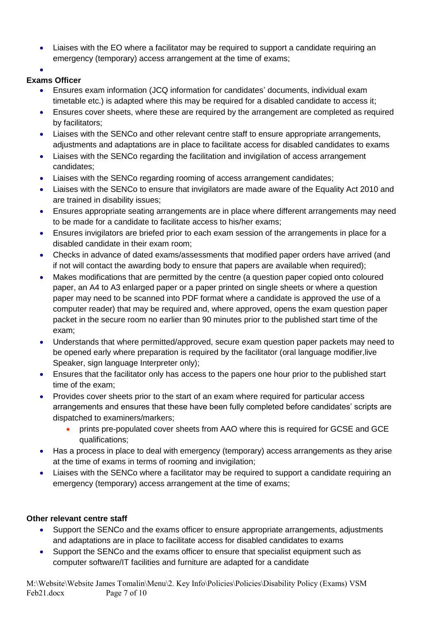• Liaises with the EO where a facilitator may be required to support a candidate requiring an emergency (temporary) access arrangement at the time of exams;

•

## **Exams Officer**

- Ensures exam information (JCQ information for candidates' documents, individual exam timetable etc.) is adapted where this may be required for a disabled candidate to access it;
- Ensures cover sheets, where these are required by the arrangement are completed as required by facilitators;
- Liaises with the SENCo and other relevant centre staff to ensure appropriate arrangements, adjustments and adaptations are in place to facilitate access for disabled candidates to exams
- Liaises with the SENCo regarding the facilitation and invigilation of access arrangement candidates;
- Liaises with the SENCo regarding rooming of access arrangement candidates;
- Liaises with the SENCo to ensure that invigilators are made aware of the Equality Act 2010 and are trained in disability issues;
- Ensures appropriate seating arrangements are in place where different arrangements may need to be made for a candidate to facilitate access to his/her exams;
- Ensures invigilators are briefed prior to each exam session of the arrangements in place for a disabled candidate in their exam room;
- Checks in advance of dated exams/assessments that modified paper orders have arrived (and if not will contact the awarding body to ensure that papers are available when required);
- Makes modifications that are permitted by the centre (a question paper copied onto coloured paper, an A4 to A3 enlarged paper or a paper printed on single sheets or where a question paper may need to be scanned into PDF format where a candidate is approved the use of a computer reader) that may be required and, where approved, opens the exam question paper packet in the secure room no earlier than 90 minutes prior to the published start time of the exam;
- Understands that where permitted/approved, secure exam question paper packets may need to be opened early where preparation is required by the facilitator (oral language modifier,live Speaker, sign language Interpreter only);
- Ensures that the facilitator only has access to the papers one hour prior to the published start time of the exam;
- Provides cover sheets prior to the start of an exam where required for particular access arrangements and ensures that these have been fully completed before candidates' scripts are dispatched to examiners/markers;
	- prints pre-populated cover sheets from AAO where this is required for GCSE and GCE qualifications;
- Has a process in place to deal with emergency (temporary) access arrangements as they arise at the time of exams in terms of rooming and invigilation;
- Liaises with the SENCo where a facilitator may be required to support a candidate requiring an emergency (temporary) access arrangement at the time of exams;

## **Other relevant centre staff**

- Support the SENCo and the exams officer to ensure appropriate arrangements, adjustments and adaptations are in place to facilitate access for disabled candidates to exams
- Support the SENCo and the exams officer to ensure that specialist equipment such as computer software/IT facilities and furniture are adapted for a candidate

M:\Website\Website James Tomalin\Menu\2. Key Info\Policies\Policies\Disability Policy (Exams) VSM Feb21.docx Page 7 of 10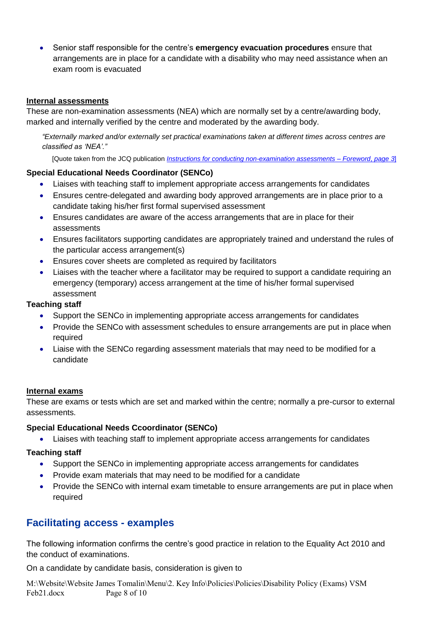• Senior staff responsible for the centre's **emergency evacuation procedures** ensure that arrangements are in place for a candidate with a disability who may need assistance when an exam room is evacuated

#### <span id="page-7-0"></span>**Internal assessments**

These are non-examination assessments (NEA) which are normally set by a centre/awarding body, marked and internally verified by the centre and moderated by the awarding body.

*"Externally marked and/or externally set practical examinations taken at different times across centres are classified as 'NEA'."*

[Quote taken from the JCQ publication *[Instructions for conducting non-examination assessments](http://www.jcq.org.uk/exams-office/non-examination-assessments)* – *Foreword*, *page 3*]

## **Special Educational Needs Coordinator (SENCo)**

- Liaises with teaching staff to implement appropriate access arrangements for candidates
- Ensures centre-delegated and awarding body approved arrangements are in place prior to a candidate taking his/her first formal supervised assessment
- Ensures candidates are aware of the access arrangements that are in place for their assessments
- Ensures facilitators supporting candidates are appropriately trained and understand the rules of the particular access arrangement(s)
- Ensures cover sheets are completed as required by facilitators
- Liaises with the teacher where a facilitator may be required to support a candidate requiring an emergency (temporary) access arrangement at the time of his/her formal supervised assessment

## **Teaching staff**

- Support the SENCo in implementing appropriate access arrangements for candidates
- Provide the SENCo with assessment schedules to ensure arrangements are put in place when required
- Liaise with the SENCo regarding assessment materials that may need to be modified for a candidate

#### <span id="page-7-1"></span>**Internal exams**

These are exams or tests which are set and marked within the centre; normally a pre-cursor to external assessments.

#### **Special Educational Needs Ccoordinator (SENCo)**

• Liaises with teaching staff to implement appropriate access arrangements for candidates

#### **Teaching staff**

- Support the SENCo in implementing appropriate access arrangements for candidates
- Provide exam materials that may need to be modified for a candidate
- Provide the SENCo with internal exam timetable to ensure arrangements are put in place when required

## <span id="page-7-2"></span>**Facilitating access - examples**

The following information confirms the centre's good practice in relation to the Equality Act 2010 and the conduct of examinations.

On a candidate by candidate basis, consideration is given to

M:\Website\Website James Tomalin\Menu\2. Key Info\Policies\Policies\Disability Policy (Exams) VSM Feb21.docx Page 8 of 10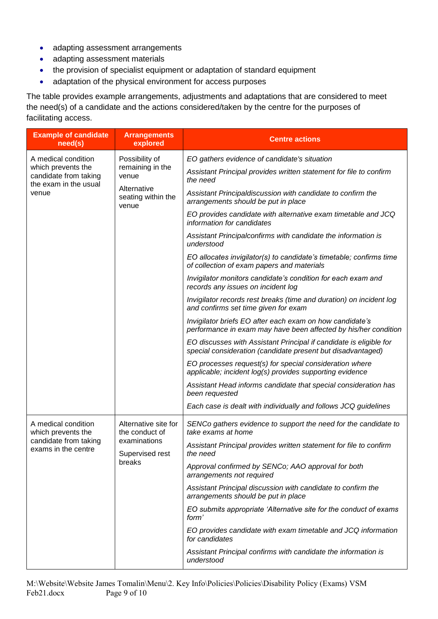- adapting assessment arrangements
- adapting assessment materials
- the provision of specialist equipment or adaptation of standard equipment
- adaptation of the physical environment for access purposes

The table provides example arrangements, adjustments and adaptations that are considered to meet the need(s) of a candidate and the actions considered/taken by the centre for the purposes of facilitating access.

| <b>Example of candidate</b><br>need(s)                                                                                                                                                            | <b>Arrangements</b><br>explored                                                                             | <b>Centre actions</b>                                                                                                             |
|---------------------------------------------------------------------------------------------------------------------------------------------------------------------------------------------------|-------------------------------------------------------------------------------------------------------------|-----------------------------------------------------------------------------------------------------------------------------------|
| A medical condition<br>Possibility of<br>which prevents the<br>remaining in the<br>candidate from taking<br>venue<br>the exam in the usual<br>Alternative<br>venue<br>seating within the<br>venue |                                                                                                             | EO gathers evidence of candidate's situation                                                                                      |
|                                                                                                                                                                                                   |                                                                                                             | Assistant Principal provides written statement for file to confirm<br>the need                                                    |
|                                                                                                                                                                                                   |                                                                                                             | Assistant Principaldiscussion with candidate to confirm the<br>arrangements should be put in place                                |
|                                                                                                                                                                                                   |                                                                                                             | EO provides candidate with alternative exam timetable and JCQ<br>information for candidates                                       |
|                                                                                                                                                                                                   |                                                                                                             | Assistant Principalconfirms with candidate the information is<br>understood                                                       |
|                                                                                                                                                                                                   |                                                                                                             | EO allocates invigilator(s) to candidate's timetable; confirms time<br>of collection of exam papers and materials                 |
|                                                                                                                                                                                                   |                                                                                                             | Invigilator monitors candidate's condition for each exam and<br>records any issues on incident log                                |
|                                                                                                                                                                                                   | Invigilator records rest breaks (time and duration) on incident log<br>and confirms set time given for exam |                                                                                                                                   |
|                                                                                                                                                                                                   |                                                                                                             | Invigilator briefs EO after each exam on how candidate's<br>performance in exam may have been affected by his/her condition       |
|                                                                                                                                                                                                   |                                                                                                             | EO discusses with Assistant Principal if candidate is eligible for<br>special consideration (candidate present but disadvantaged) |
|                                                                                                                                                                                                   |                                                                                                             | EO processes request(s) for special consideration where<br>applicable; incident log(s) provides supporting evidence               |
|                                                                                                                                                                                                   |                                                                                                             | Assistant Head informs candidate that special consideration has<br>been requested                                                 |
|                                                                                                                                                                                                   |                                                                                                             | Each case is dealt with individually and follows JCQ guidelines                                                                   |
| A medical condition<br>which prevents the<br>candidate from taking<br>exams in the centre                                                                                                         | Alternative site for<br>the conduct of<br>examinations<br>Supervised rest<br>breaks                         | SENCo gathers evidence to support the need for the candidate to<br>take exams at home                                             |
|                                                                                                                                                                                                   |                                                                                                             | Assistant Principal provides written statement for file to confirm<br>the need                                                    |
|                                                                                                                                                                                                   |                                                                                                             | Approval confirmed by SENCo; AAO approval for both<br>arrangements not required                                                   |
|                                                                                                                                                                                                   |                                                                                                             | Assistant Principal discussion with candidate to confirm the<br>arrangements should be put in place                               |
|                                                                                                                                                                                                   |                                                                                                             | EO submits appropriate 'Alternative site for the conduct of exams<br>form'                                                        |
|                                                                                                                                                                                                   |                                                                                                             | EO provides candidate with exam timetable and JCQ information<br>for candidates                                                   |
|                                                                                                                                                                                                   |                                                                                                             | Assistant Principal confirms with candidate the information is<br>understood                                                      |